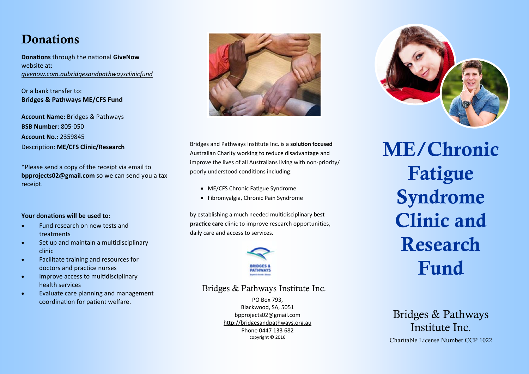### **Donations**

**Donations** through the national **GiveNow** website at: *givenow.com.aubridgesandpathwaysclinicfund*

Or a bank transfer to: **Bridges & Pathways ME/CFS Fund** 

**Account Name:** Bridges & Pathways **BSB Number**: 805‐050 **Account No.:** 2359845 DescripƟon: **ME/CFS Clinic/Research**

\*Please send a copy of the receipt via email to **bpprojects02@gmail.com** so we can send you a tax receipt.

#### **Your donations will be used to:**

- $\bullet$  Fund research on new tests and treatments
- $\bullet$ Set up and maintain a multidisciplinary clinic
- $\bullet$  Facilitate training and resources for doctors and practice nurses
- $\bullet$ Improve access to multidisciplinary health services
- $\bullet$  Evaluate care planning and management coordination for patient welfare.



Bridges and Pathways Institute Inc. is a **solution focused** Australian Charity working to reduce disadvantage and improve the lives of all Australians living with non-priority/ poorly understood conditions including:

- ME/CFS Chronic Fatigue Syndrome
- Fibromyalgia, Chronic Pain Syndrome

by establishing a much needed mulƟdisciplinary **best practice care** clinic to improve research opportunities. daily care and access to services.



#### Bridges & Pathways Institute Inc.

PO Box 793, Blackwood, SA, 5051 bpprojects02@gmail.com http://bridgesandpathways.org.au Phone 0447 133 682 copyright © 2016



ME/Chronic Fatigue Syndrome Clinic and Research Fund

#### Bridges & Pathways Institute Inc.

Charitable License Number CCP 1022